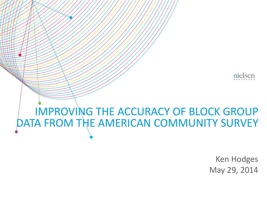

### IMPROVING THE ACCURACY OF BLOCK GROUP DATA FROM THE AMERICAN COMMUNITY SURVEY

Ken Hodges May 29, 2014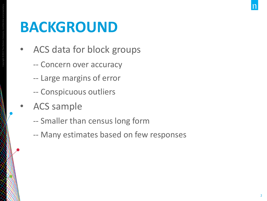# **BACKGROUND**

- ACS data for block groups
	- -- Concern over accuracy
	- -- Large margins of error
	- -- Conspicuous outliers
- ACS sample

- -- Smaller than census long form
- -- Many estimates based on few responses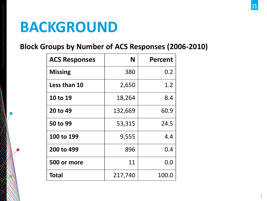### **BACKGROUND**

Copyright ©2013 The Nielsen Company. Confidential and proprietary.

### **Block Groups by Number of ACS Responses (2006-2010)**

| <b>ACS Responses</b> | N       | <b>Percent</b> |
|----------------------|---------|----------------|
| <b>Missing</b>       | 380     | 0.2            |
| Less than 10         | 2,650   | 1.2            |
| 10 to 19             | 18,264  | 8.4            |
| 20 to 49             | 132,669 | 60.9           |
| 50 to 99             | 53,315  | 24.5           |
| 100 to 199           | 9,555   | 4.4            |
| 200 to 499           | 896     | 0.4            |
| 500 or more          | 11      | 0.0            |
| Total                | 217,740 | 100.0          |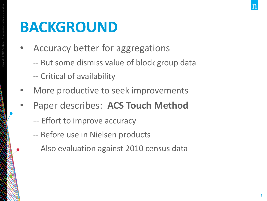# **BACKGROUND**

- Accuracy better for aggregations
	- -- But some dismiss value of block group data -- Critical of availability
- More productive to seek improvements
- Paper describes: **ACS Touch Method**
	- -- Effort to improve accuracy
	- -- Before use in Nielsen products
	- -- Also evaluation against 2010 census data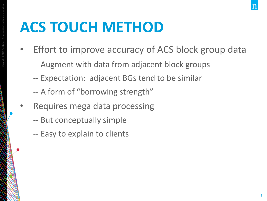# **ACS TOUCH METHOD**

- Effort to improve accuracy of ACS block group data
	- -- Augment with data from adjacent block groups
	- -- Expectation: adjacent BGs tend to be similar
	- -- A form of "borrowing strength"
- Requires mega data processing
	- -- But conceptually simple
	- -- Easy to explain to clients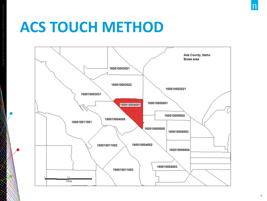### **ACS TOUCH METHOD**



n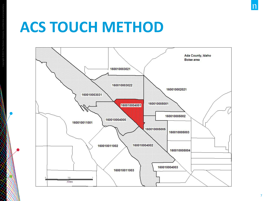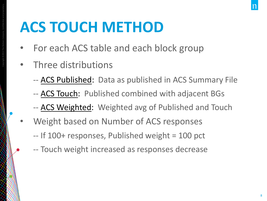# **ACS TOUCH METHOD**

- For each ACS table and each block group
- Three distributions

- -- ACS Published: Data as published in ACS Summary File
- -- ACS Touch: Published combined with adjacent BGs
- -- ACS Weighted: Weighted avg of Published and Touch
- Weight based on Number of ACS responses
	- -- If 100+ responses, Published weight = 100 pct
	- -- Touch weight increased as responses decrease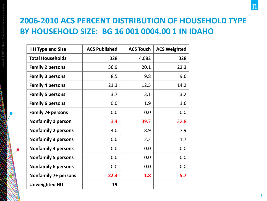### **2006-2010 ACS PERCENT DISTRIBUTION OF HOUSEHOLD TYPE BY HOUSEHOLD SIZE: BG 16 001 0004.00 1 IN IDAHO**

| <b>HH Type and Size</b>     | <b>ACS Published</b> | <b>ACS Touch</b> | <b>ACS Weighted</b> |
|-----------------------------|----------------------|------------------|---------------------|
| <b>Total Households</b>     | 328                  | 4,082            | 328                 |
| <b>Family 2 persons</b>     | 36.9                 | 20.1             | 23.3                |
| <b>Family 3 persons</b>     | 8.5                  | 9.8              | 9.6                 |
| <b>Family 4 persons</b>     | 21.3                 | 12.5             | 14.2                |
| <b>Family 5 persons</b>     | 3.7                  | 3.1              | 3.2                 |
| <b>Family 6 persons</b>     | 0.0                  | 1.9              | 1.6                 |
| <b>Family 7+ persons</b>    | 0.0                  | 0.0              | 0.0                 |
| <b>Nonfamily 1 person</b>   | 3.4                  | 39.7             | 32.8                |
| <b>Nonfamily 2 persons</b>  | 4.0                  | 8.9              | 7.9                 |
| <b>Nonfamily 3 persons</b>  | 0.0                  | 2.2              | 1.7                 |
| <b>Nonfamily 4 persons</b>  | 0.0                  | 0.0              | 0.0                 |
| <b>Nonfamily 5 persons</b>  | 0.0                  | 0.0              | 0.0                 |
| <b>Nonfamily 6 persons</b>  | 0.0                  | 0.0              | 0.0                 |
| <b>Nonfamily 7+ persons</b> | 22.3                 | 1.8              | 5.7                 |
| <b>Unweighted HU</b>        | 19                   |                  |                     |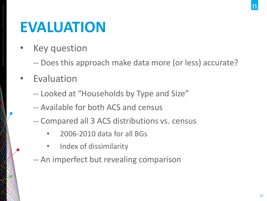• Key question

- -- Does this approach make data more (or less) accurate?
- Evaluation
	- -- Looked at "Households by Type and Size"
	- -- Available for both ACS and census
	- -- Compared all 3 ACS distributions vs. census
		- 2006-2010 data for all BGs
		- Index of dissimilarity
	- -- An imperfect but revealing comparison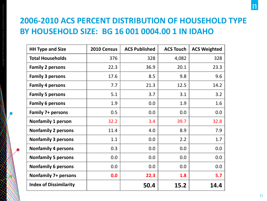### **2006-2010 ACS PERCENT DISTRIBUTION OF HOUSEHOLD TYPE BY HOUSEHOLD SIZE: BG 16 001 0004.00 1 IN IDAHO**

| <b>HH Type and Size</b>       | 2010 Census | <b>ACS Published</b> | <b>ACS Touch</b> | <b>ACS Weighted</b> |
|-------------------------------|-------------|----------------------|------------------|---------------------|
| <b>Total Households</b>       | 376         | 328                  | 4,082            | 328                 |
| <b>Family 2 persons</b>       | 22.3        | 36.9                 | 20.1             | 23.3                |
| <b>Family 3 persons</b>       | 17.6        | 8.5                  | 9.8              | 9.6                 |
| <b>Family 4 persons</b>       | 7.7         | 21.3                 | 12.5             | 14.2                |
| <b>Family 5 persons</b>       | 5.1         | 3.7                  | 3.1              | 3.2                 |
| <b>Family 6 persons</b>       | 1.9         | 0.0                  | 1.9              | 1.6                 |
| <b>Family 7+ persons</b>      | 0.5         | 0.0                  | 0.0              | 0.0                 |
| <b>Nonfamily 1 person</b>     | 32.2        | 3.4                  | 39.7             | 32.8                |
| <b>Nonfamily 2 persons</b>    | 11.4        | 4.0                  | 8.9              | 7.9                 |
| <b>Nonfamily 3 persons</b>    | 1.1         | 0.0                  | 2.2              | 1.7                 |
| <b>Nonfamily 4 persons</b>    | 0.3         | 0.0                  | 0.0              | 0.0                 |
| <b>Nonfamily 5 persons</b>    | 0.0         | 0.0                  | 0.0              | 0.0                 |
| <b>Nonfamily 6 persons</b>    | 0.0         | 0.0                  | 0.0              | 0.0                 |
| <b>Nonfamily 7+ persons</b>   | 0.0         | 22.3                 | 1.8              | 5.7                 |
| <b>Index of Dissimilarity</b> |             | 50.4                 | 15.2             | 14.4                |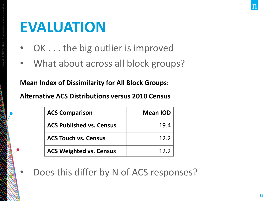- OK . . . the big outlier is improved
- What about across all block groups?

### **Mean Index of Dissimilarity for All Block Groups:**

**Alternative ACS Distributions versus 2010 Census** 

| <b>ACS Comparison</b>           | <b>Mean IOD</b> |
|---------------------------------|-----------------|
| <b>ACS Published vs. Census</b> | 19.4            |
| <b>ACS Touch vs. Census</b>     | 12.2            |
| <b>ACS Weighted vs. Census</b>  | 12 <sub>2</sub> |

Does this differ by N of ACS responses?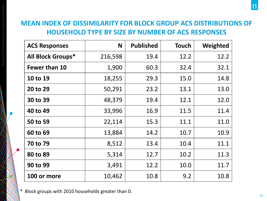### **MEAN INDEX OF DISSIMILARITY FOR BLOCK GROUP ACS DISTRIBUTIONS OF HOUSEHOLD TYPE BY SIZE BY NUMBER OF ACS RESPONSES**

| <b>ACS Responses</b>     | N       | <b>Published</b> | <b>Touch</b> | Weighted |
|--------------------------|---------|------------------|--------------|----------|
| <b>All Block Groups*</b> | 216,598 | 19.4             | 12.2         | 12.2     |
| Fewer than 10            | 1,900   | 60.3             | 32.4         | 32.1     |
| 10 to 19                 | 18,255  | 29.3             | 15.0         | 14.8     |
| 20 to 29                 | 50,291  | 23.2             | 13.1         | 13.0     |
| 30 to 39                 | 48,379  | 19.4             | 12.1         | 12.0     |
| 40 to 49                 | 33,996  | 16.9             | 11.5         | 11.4     |
| 50 to 59                 | 22,114  | 15.3             | 11.1         | 11.0     |
| 60 to 69                 | 13,884  | 14.2             | 10.7         | 10.9     |
| 70 to 79                 | 8,512   | 13.4             | 10.4         | 11.1     |
| 80 to 89                 | 5,314   | 12.7             | 10.2         | 11.3     |
| 90 to 99                 | 3,491   | 12.2             | 10.0         | 11.7     |
| 100 or more              | 10,462  | 10.8             | 9.2          | 10.8     |

\* Block groups with 2010 households greater than 0.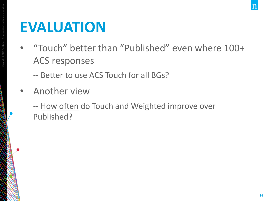- "Touch" better than "Published" even where 100+ ACS responses
	- -- Better to use ACS Touch for all BGs?
- Another view
	- -- How often do Touch and Weighted improve over Published?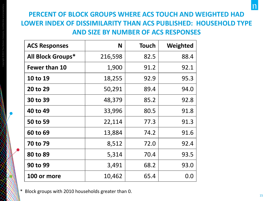### **PERCENT OF BLOCK GROUPS WHERE ACS TOUCH AND WEIGHTED HAD LOWER INDEX OF DISSIMILARITY THAN ACS PUBLISHED: HOUSEHOLD TYPE AND SIZE BY NUMBER OF ACS RESPONSES**

| <b>ACS Responses</b>     | N       | <b>Touch</b> | Weighted |
|--------------------------|---------|--------------|----------|
| <b>All Block Groups*</b> | 216,598 | 82.5         | 88.4     |
| <b>Fewer than 10</b>     | 1,900   | 91.2         | 92.1     |
| 10 to 19                 | 18,255  | 92.9         | 95.3     |
| 20 to 29                 | 50,291  | 89.4         | 94.0     |
| 30 to 39                 | 48,379  | 85.2         | 92.8     |
| 40 to 49                 | 33,996  | 80.5         | 91.8     |
| 50 to 59                 | 22,114  | 77.3         | 91.3     |
| 60 to 69                 | 13,884  | 74.2         | 91.6     |
| 70 to 79                 | 8,512   | 72.0         | 92.4     |
| 80 to 89                 | 5,314   | 70.4         | 93.5     |
| 90 to 99                 | 3,491   | 68.2         | 93.0     |
| 100 or more              | 10,462  | 65.4         | 0.0      |

\* Block groups with 2010 households greater than 0.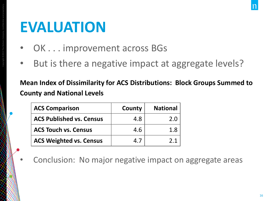Copyright ©2013 The Nielsen Company. Confidential and proprietary.

- OK . . . improvement across BGs
- But is there a negative impact at aggregate levels?

**Mean Index of Dissimilarity for ACS Distributions: Block Groups Summed to County and National Levels** 

| <b>ACS Comparison</b>           | County | <b>National</b> |
|---------------------------------|--------|-----------------|
| <b>ACS Published vs. Census</b> | 4.8    | 2.0             |
| <b>ACS Touch vs. Census</b>     | 4.6    | 1.8             |
| <b>ACS Weighted vs. Census</b>  |        |                 |

Conclusion: No major negative impact on aggregate areas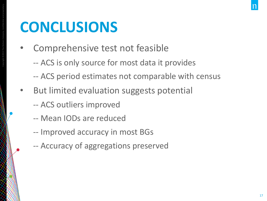# **CONCLUSIONS**

- Comprehensive test not feasible
	- -- ACS is only source for most data it provides
	- -- ACS period estimates not comparable with census
- But limited evaluation suggests potential
	- -- ACS outliers improved
	- -- Mean IODs are reduced
	- -- Improved accuracy in most BGs
	- -- Accuracy of aggregations preserved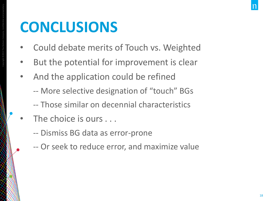# **CONCLUSIONS**

- Could debate merits of Touch vs. Weighted
- But the potential for improvement is clear
- And the application could be refined
	- -- More selective designation of "touch" BGs
	- -- Those similar on decennial characteristics
- The choice is ours . . .
	- -- Dismiss BG data as error-prone
	- -- Or seek to reduce error, and maximize value